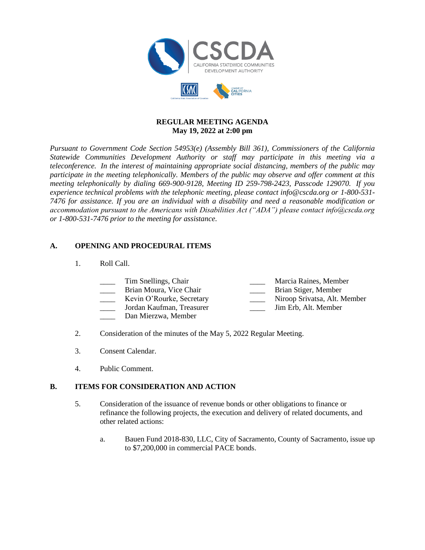

### **REGULAR MEETING AGENDA May 19, 2022 at 2:00 pm**

*Pursuant to Government Code Section 54953(e) (Assembly Bill 361), Commissioners of the California Statewide Communities Development Authority or staff may participate in this meeting via a teleconference. In the interest of maintaining appropriate social distancing, members of the public may participate in the meeting telephonically. Members of the public may observe and offer comment at this meeting telephonically by dialing 669-900-9128, Meeting ID 259-798-2423, Passcode 129070. If you experience technical problems with the telephonic meeting, please contact info@cscda.org or 1-800-531- 7476 for assistance. If you are an individual with a disability and need a reasonable modification or accommodation pursuant to the Americans with Disabilities Act ("ADA") please contact info@cscda.org or 1-800-531-7476 prior to the meeting for assistance.*

## **A. OPENING AND PROCEDURAL ITEMS**

1. Roll Call.

| Tim Snellings, Chair                                                        | Marcia Raines, Member      |
|-----------------------------------------------------------------------------|----------------------------|
| Brian Moura, Vice Chair                                                     | Brian Stiger, Member       |
| $V_{\alpha}$ $\cdots$ $\Omega_{\alpha}$ $\cdots$ $\Omega_{\alpha}$ $\cdots$ | Nixoon Crivictoo Alt Mombo |

- \_\_\_\_ Kevin O'Rourke, Secretary \_\_\_\_ Niroop Srivatsa, Alt. Member
- Dan Mierzwa, Member
- \_\_\_\_ Jordan Kaufman, Treasurer \_\_\_\_ Jim Erb, Alt. Member
- 2. Consideration of the minutes of the May 5, 2022 Regular Meeting.
- 3. Consent Calendar.
- 4. Public Comment.

## **B. ITEMS FOR CONSIDERATION AND ACTION**

- 5. Consideration of the issuance of revenue bonds or other obligations to finance or refinance the following projects, the execution and delivery of related documents, and other related actions:
	- a. Bauen Fund 2018-830, LLC, City of Sacramento, County of Sacramento, issue up to \$7,200,000 in commercial PACE bonds.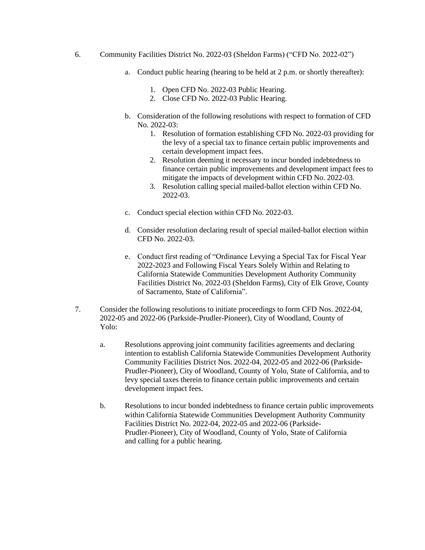- 6. Community Facilities District No. 2022-03 (Sheldon Farms) ("CFD No. 2022-02")
	- a. Conduct public hearing (hearing to be held at 2 p.m. or shortly thereafter):
		- 1. Open CFD No. 2022-03 Public Hearing.
		- 2. Close CFD No. 2022-03 Public Hearing.
	- b. Consideration of the following resolutions with respect to formation of CFD No. 2022-03:
		- 1. Resolution of formation establishing CFD No. 2022-03 providing for the levy of a special tax to finance certain public improvements and certain development impact fees.
		- 2. Resolution deeming it necessary to incur bonded indebtedness to finance certain public improvements and development impact fees to mitigate the impacts of development within CFD No. 2022-03.
		- 3. Resolution calling special mailed-ballot election within CFD No. 2022-03.
	- c. Conduct special election within CFD No. 2022-03.
	- d. Consider resolution declaring result of special mailed-ballot election within CFD No. 2022-03.
	- e. Conduct first reading of "Ordinance Levying a Special Tax for Fiscal Year 2022-2023 and Following Fiscal Years Solely Within and Relating to California Statewide Communities Development Authority Community Facilities District No. 2022-03 (Sheldon Farms), City of Elk Grove, County of Sacramento, State of California".
- 7. Consider the following resolutions to initiate proceedings to form CFD Nos. 2022-04, 2022-05 and 2022-06 (Parkside-Prudler-Pioneer), City of Woodland, County of Yolo:
	- a. Resolutions approving joint community facilities agreements and declaring intention to establish California Statewide Communities Development Authority Community Facilities District Nos. 2022-04, 2022-05 and 2022-06 (Parkside-Prudler-Pioneer), City of Woodland, County of Yolo, State of California, and to levy special taxes therein to finance certain public improvements and certain development impact fees.
	- b. Resolutions to incur bonded indebtedness to finance certain public improvements within California Statewide Communities Development Authority Community Facilities District No. 2022-04, 2022-05 and 2022-06 (Parkside-Prudler-Pioneer), City of Woodland, County of Yolo, State of California and calling for a public hearing.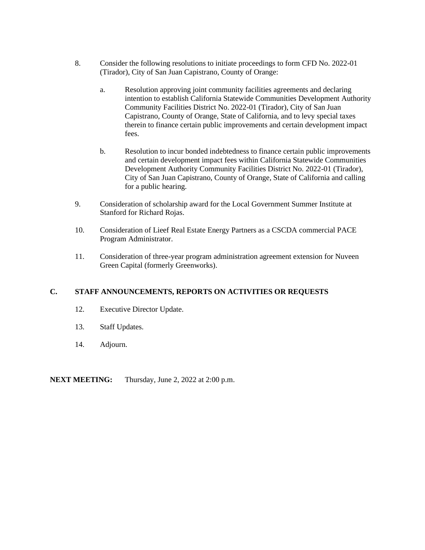- 8. Consider the following resolutions to initiate proceedings to form CFD No. 2022-01 (Tirador), City of San Juan Capistrano, County of Orange:
	- a. Resolution approving joint community facilities agreements and declaring intention to establish California Statewide Communities Development Authority Community Facilities District No. 2022-01 (Tirador), City of San Juan Capistrano, County of Orange, State of California, and to levy special taxes therein to finance certain public improvements and certain development impact fees.
	- b. Resolution to incur bonded indebtedness to finance certain public improvements and certain development impact fees within California Statewide Communities Development Authority Community Facilities District No. 2022-01 (Tirador), City of San Juan Capistrano, County of Orange, State of California and calling for a public hearing.
- 9. Consideration of scholarship award for the Local Government Summer Institute at Stanford for Richard Rojas.
- 10. Consideration of Lieef Real Estate Energy Partners as a CSCDA commercial PACE Program Administrator.
- 11. Consideration of three-year program administration agreement extension for Nuveen Green Capital (formerly Greenworks).

#### **C. STAFF ANNOUNCEMENTS, REPORTS ON ACTIVITIES OR REQUESTS**

- 12. Executive Director Update.
- 13. Staff Updates.
- 14. Adjourn.

#### **NEXT MEETING:** Thursday, June 2, 2022 at 2:00 p.m.